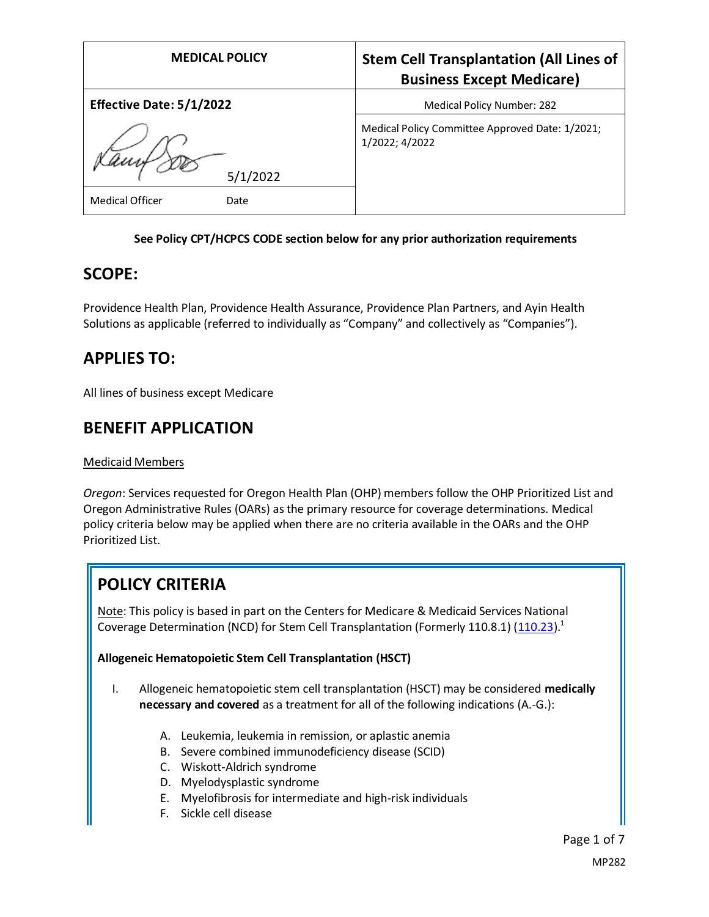| <b>MEDICAL POLICY</b>           | <b>Stem Cell Transplantation (All Lines of</b><br><b>Business Except Medicare)</b> |
|---------------------------------|------------------------------------------------------------------------------------|
| <b>Effective Date: 5/1/2022</b> | Medical Policy Number: 282                                                         |
| 5/1/2022                        | Medical Policy Committee Approved Date: 1/2021;<br>1/2022; 4/2022                  |
| <b>Medical Officer</b><br>Date  |                                                                                    |

#### **See Policy CPT/HCPCS CODE section below for any prior authorization requirements**

## **SCOPE:**

Providence Health Plan, Providence Health Assurance, Providence Plan Partners, and Ayin Health Solutions as applicable (referred to individually as "Company" and collectively as "Companies").

# **APPLIES TO:**

All lines of business except Medicare

## **BENEFIT APPLICATION**

#### Medicaid Members

*Oregon*: Services requested for Oregon Health Plan (OHP) members follow the OHP Prioritized List and Oregon Administrative Rules (OARs) as the primary resource for coverage determinations. Medical policy criteria below may be applied when there are no criteria available in the OARs and the OHP Prioritized List.

# **POLICY CRITERIA**

Note: This policy is based in part on the Centers for Medicare & Medicaid Services National Coverage Determination (NCD) for Stem Cell Transplantation (Formerly 110.8.1)  $(110.23)^{1}$  $(110.23)^{1}$ 

#### **Allogeneic Hematopoietic Stem Cell Transplantation (HSCT)**

- I. Allogeneic hematopoietic stem cell transplantation (HSCT) may be considered **medically necessary and covered** as a treatment for all of the following indications (A.-G.):
	- A. Leukemia, leukemia in remission, or aplastic anemia
	- B. Severe combined immunodeficiency disease (SCID)
	- C. Wiskott-Aldrich syndrome
	- D. Myelodysplastic syndrome
	- E. Myelofibrosis for intermediate and high-risk individuals
	- F. Sickle cell disease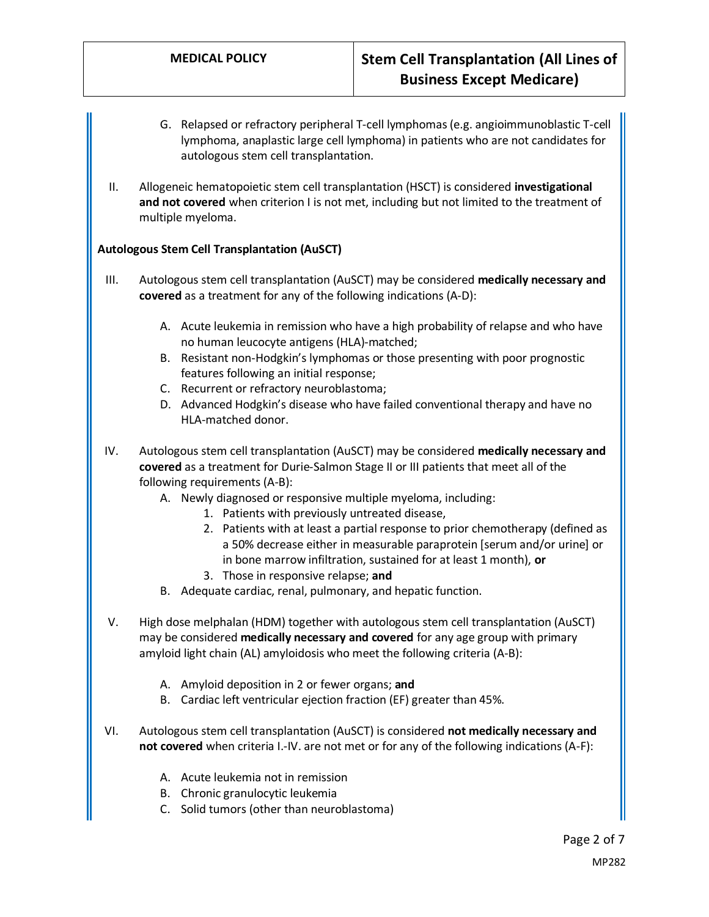- G. Relapsed or refractory peripheral T-cell lymphomas (e.g. angioimmunoblastic T-cell lymphoma, anaplastic large cell lymphoma) in patients who are not candidates for autologous stem cell transplantation.
- II. Allogeneic hematopoietic stem cell transplantation (HSCT) is considered **investigational and not covered** when criterion I is not met, including but not limited to the treatment of multiple myeloma.

### **Autologous Stem Cell Transplantation (AuSCT)**

- III. Autologous stem cell transplantation (AuSCT) may be considered **medically necessary and covered** as a treatment for any of the following indications (A-D):
	- A. Acute leukemia in remission who have a high probability of relapse and who have no human leucocyte antigens (HLA)-matched;
	- B. Resistant non-Hodgkin's lymphomas or those presenting with poor prognostic features following an initial response;
	- C. Recurrent or refractory neuroblastoma;
	- D. Advanced Hodgkin's disease who have failed conventional therapy and have no HLA-matched donor.
- IV. Autologous stem cell transplantation (AuSCT) may be considered **medically necessary and covered** as a treatment for Durie-Salmon Stage II or III patients that meet all of the following requirements (A-B):
	- A. Newly diagnosed or responsive multiple myeloma, including:
		- 1. Patients with previously untreated disease,
		- 2. Patients with at least a partial response to prior chemotherapy (defined as a 50% decrease either in measurable paraprotein [serum and/or urine] or in bone marrow infiltration, sustained for at least 1 month), **or**
		- 3. Those in responsive relapse; **and**
	- B. Adequate cardiac, renal, pulmonary, and hepatic function.
- V. High dose melphalan (HDM) together with autologous stem cell transplantation (AuSCT) may be considered **medically necessary and covered** for any age group with primary amyloid light chain (AL) amyloidosis who meet the following criteria (A-B):
	- A. Amyloid deposition in 2 or fewer organs; **and**
	- B. Cardiac left ventricular ejection fraction (EF) greater than 45%.
- VI. Autologous stem cell transplantation (AuSCT) is considered **not medically necessary and not covered** when criteria I.-IV. are not met or for any of the following indications (A-F):
	- A. Acute leukemia not in remission
	- B. Chronic granulocytic leukemia
	- C. Solid tumors (other than neuroblastoma)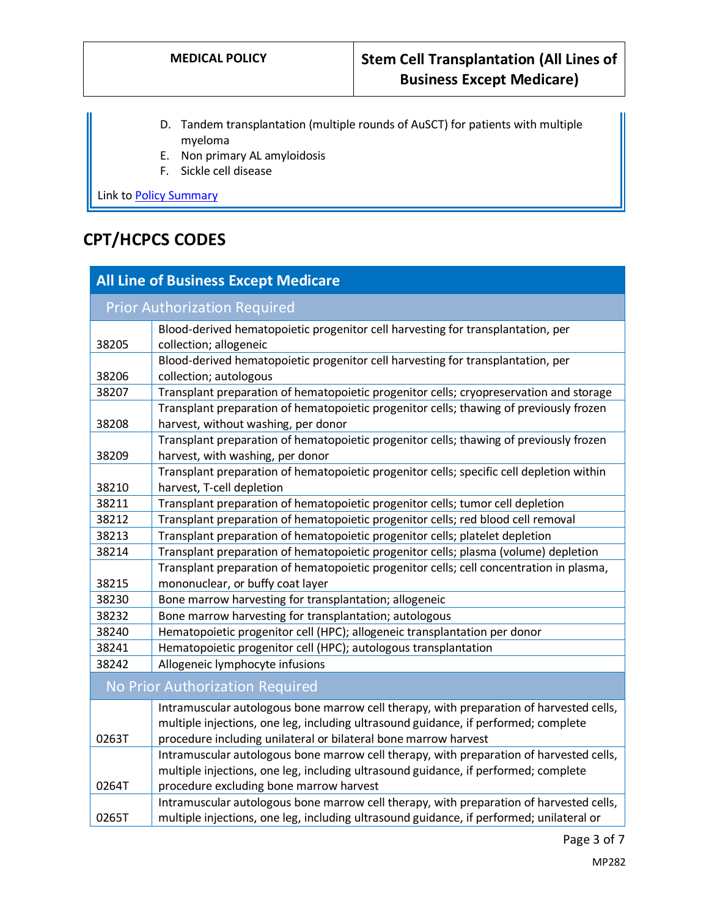- D. Tandem transplantation (multiple rounds of AuSCT) for patients with multiple myeloma
- E. Non primary AL amyloidosis
- F. Sickle cell disease

Link to Policy Summary

# **CPT/HCPCS CODES**

| <b>All Line of Business Except Medicare</b> |                                                                                          |
|---------------------------------------------|------------------------------------------------------------------------------------------|
| <b>Prior Authorization Required</b>         |                                                                                          |
|                                             | Blood-derived hematopoietic progenitor cell harvesting for transplantation, per          |
| 38205                                       | collection; allogeneic                                                                   |
|                                             | Blood-derived hematopoietic progenitor cell harvesting for transplantation, per          |
| 38206                                       | collection; autologous                                                                   |
| 38207                                       | Transplant preparation of hematopoietic progenitor cells; cryopreservation and storage   |
|                                             | Transplant preparation of hematopoietic progenitor cells; thawing of previously frozen   |
| 38208                                       | harvest, without washing, per donor                                                      |
|                                             | Transplant preparation of hematopoietic progenitor cells; thawing of previously frozen   |
| 38209                                       | harvest, with washing, per donor                                                         |
|                                             | Transplant preparation of hematopoietic progenitor cells; specific cell depletion within |
| 38210                                       | harvest, T-cell depletion                                                                |
| 38211                                       | Transplant preparation of hematopoietic progenitor cells; tumor cell depletion           |
| 38212                                       | Transplant preparation of hematopoietic progenitor cells; red blood cell removal         |
| 38213                                       | Transplant preparation of hematopoietic progenitor cells; platelet depletion             |
| 38214                                       | Transplant preparation of hematopoietic progenitor cells; plasma (volume) depletion      |
|                                             | Transplant preparation of hematopoietic progenitor cells; cell concentration in plasma,  |
| 38215                                       | mononuclear, or buffy coat layer                                                         |
| 38230                                       | Bone marrow harvesting for transplantation; allogeneic                                   |
| 38232                                       | Bone marrow harvesting for transplantation; autologous                                   |
| 38240                                       | Hematopoietic progenitor cell (HPC); allogeneic transplantation per donor                |
| 38241                                       | Hematopoietic progenitor cell (HPC); autologous transplantation                          |
| 38242                                       | Allogeneic lymphocyte infusions                                                          |
| No Prior Authorization Required             |                                                                                          |
|                                             | Intramuscular autologous bone marrow cell therapy, with preparation of harvested cells,  |
|                                             | multiple injections, one leg, including ultrasound guidance, if performed; complete      |
| 0263T                                       | procedure including unilateral or bilateral bone marrow harvest                          |
|                                             | Intramuscular autologous bone marrow cell therapy, with preparation of harvested cells,  |
|                                             | multiple injections, one leg, including ultrasound guidance, if performed; complete      |
| 0264T                                       | procedure excluding bone marrow harvest                                                  |
|                                             | Intramuscular autologous bone marrow cell therapy, with preparation of harvested cells,  |
| 0265T                                       | multiple injections, one leg, including ultrasound guidance, if performed; unilateral or |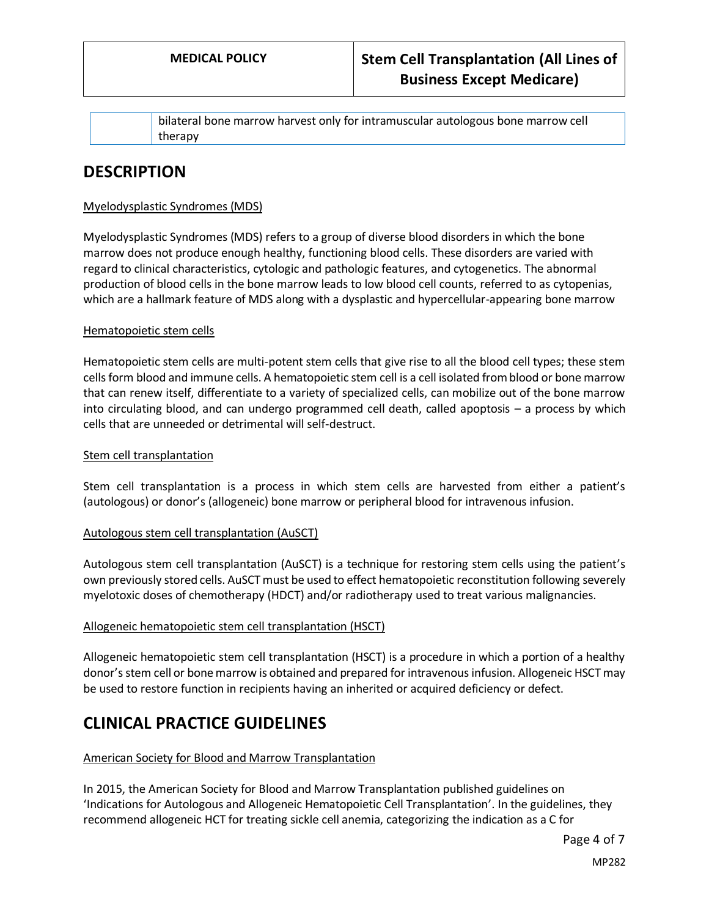bilateral bone marrow harvest only for intramuscular autologous bone marrow cell therapy

## **DESCRIPTION**

#### Myelodysplastic Syndromes (MDS)

Myelodysplastic Syndromes (MDS) refers to a group of diverse blood disorders in which the bone marrow does not produce enough healthy, functioning blood cells. These disorders are varied with regard to clinical characteristics, cytologic and pathologic features, and cytogenetics. The abnormal production of blood cells in the bone marrow leads to low blood cell counts, referred to as cytopenias, which are a hallmark feature of MDS along with a dysplastic and hypercellular-appearing bone marrow

#### Hematopoietic stem cells

Hematopoietic stem cells are multi-potent stem cells that give rise to all the blood cell types; these stem cells form blood and immune cells. A hematopoietic stem cell is a cell isolated from blood or bone marrow that can renew itself, differentiate to a variety of specialized cells, can mobilize out of the bone marrow into circulating blood, and can undergo programmed cell death, called apoptosis – a process by which cells that are unneeded or detrimental will self-destruct.

#### Stem cell transplantation

Stem cell transplantation is a process in which stem cells are harvested from either a patient's (autologous) or donor's (allogeneic) bone marrow or peripheral blood for intravenous infusion.

#### Autologous stem cell transplantation (AuSCT)

Autologous stem cell transplantation (AuSCT) is a technique for restoring stem cells using the patient's own previously stored cells. AuSCT must be used to effect hematopoietic reconstitution following severely myelotoxic doses of chemotherapy (HDCT) and/or radiotherapy used to treat various malignancies.

#### Allogeneic hematopoietic stem cell transplantation (HSCT)

Allogeneic hematopoietic stem cell transplantation (HSCT) is a procedure in which a portion of a healthy donor's stem cell or bone marrow is obtained and prepared for intravenous infusion. Allogeneic HSCT may be used to restore function in recipients having an inherited or acquired deficiency or defect.

# **CLINICAL PRACTICE GUIDELINES**

#### American Society for Blood and Marrow Transplantation

In 2015, the American Society for Blood and Marrow Transplantation published guidelines on 'Indications for Autologous and Allogeneic Hematopoietic Cell Transplantation'. In the guidelines, they recommend allogeneic HCT for treating sickle cell anemia, categorizing the indication as a C for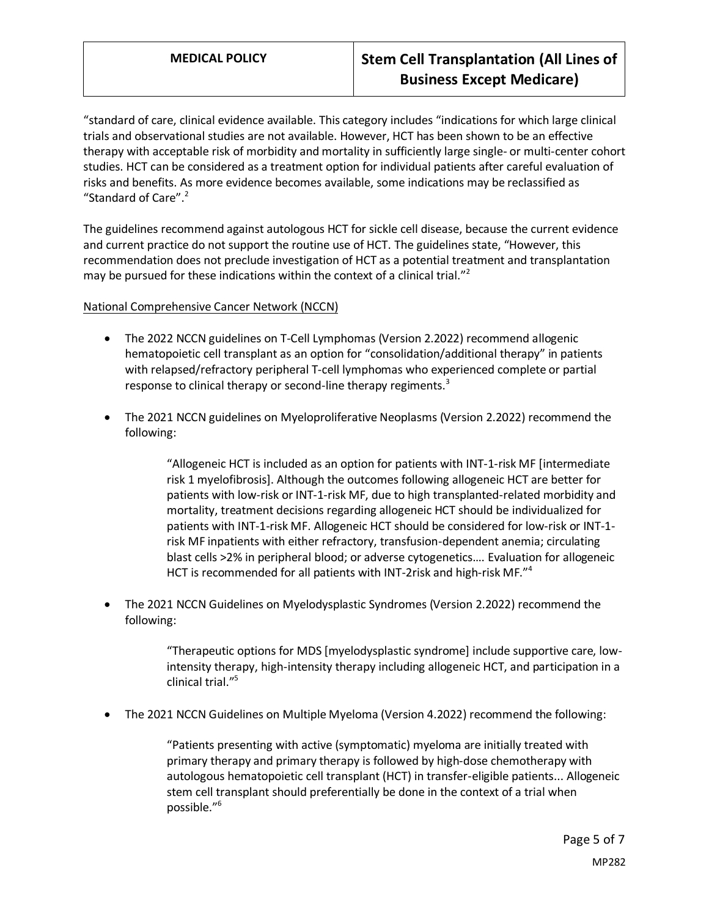# **MEDICAL POLICY Stem Cell Transplantation (All Lines of Business Except Medicare)**

"standard of care, clinical evidence available. This category includes "indications for which large clinical trials and observational studies are not available. However, HCT has been shown to be an effective therapy with acceptable risk of morbidity and mortality in sufficiently large single- or multi-center cohort studies. HCT can be considered as a treatment option for individual patients after careful evaluation of risks and benefits. As more evidence becomes available, some indications may be reclassified as "Standard of Care". $2$ 

The guidelines recommend against autologous HCT for sickle cell disease, because the current evidence and current practice do not support the routine use of HCT. The guidelines state, "However, this recommendation does not preclude investigation of HCT as a potential treatment and transplantation may be pursued for these indications within the context of a clinical trial."<sup>2</sup>

#### National Comprehensive Cancer Network (NCCN)

- The 2022 NCCN guidelines on T-Cell Lymphomas (Version 2.2022) recommend allogenic hematopoietic cell transplant as an option for "consolidation/additional therapy" in patients with relapsed/refractory peripheral T-cell lymphomas who experienced complete or partial response to clinical therapy or second-line therapy regiments.<sup>3</sup>
- The 2021 NCCN guidelines on Myeloproliferative Neoplasms (Version 2.2022) recommend the following:

"Allogeneic HCT is included as an option for patients with INT-1-risk MF [intermediate risk 1 myelofibrosis]. Although the outcomes following allogeneic HCT are better for patients with low-risk or INT-1-risk MF, due to high transplanted-related morbidity and mortality, treatment decisions regarding allogeneic HCT should be individualized for patients with INT-1-risk MF. Allogeneic HCT should be considered for low-risk or INT-1 risk MF inpatients with either refractory, transfusion-dependent anemia; circulating blast cells >2% in peripheral blood; or adverse cytogenetics…. Evaluation for allogeneic HCT is recommended for all patients with INT-2risk and high-risk MF."<sup>4</sup>

• The 2021 NCCN Guidelines on Myelodysplastic Syndromes (Version 2.2022) recommend the following:

> "Therapeutic options for MDS [myelodysplastic syndrome] include supportive care, lowintensity therapy, high-intensity therapy including allogeneic HCT, and participation in a clinical trial."<sup>5</sup>

• The 2021 NCCN Guidelines on Multiple Myeloma (Version 4.2022) recommend the following:

"Patients presenting with active (symptomatic) myeloma are initially treated with primary therapy and primary therapy is followed by high-dose chemotherapy with autologous hematopoietic cell transplant (HCT) in transfer-eligible patients... Allogeneic stem cell transplant should preferentially be done in the context of a trial when possible." 6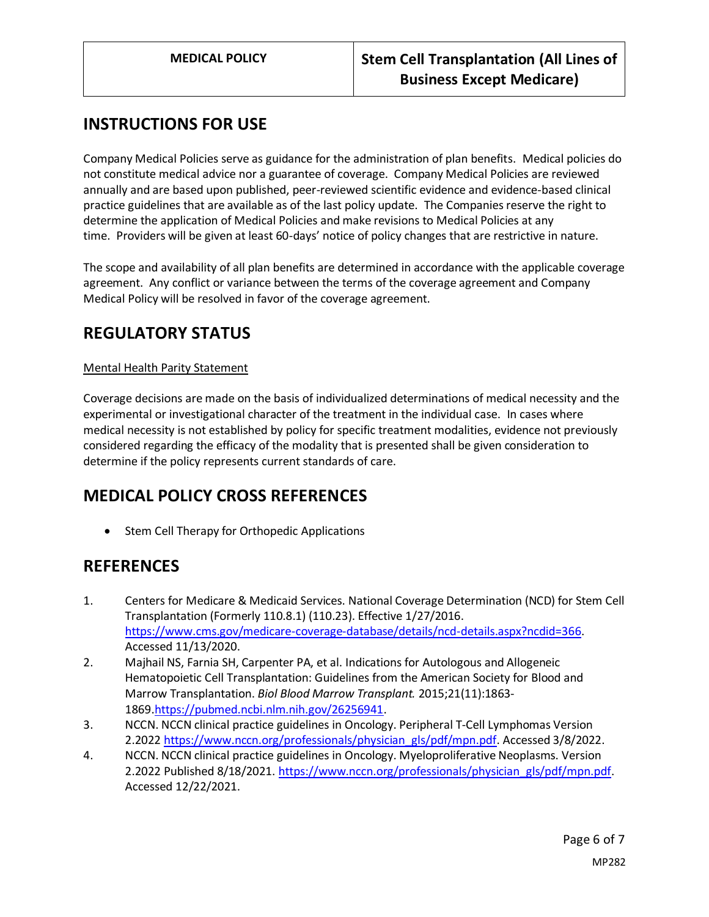# **INSTRUCTIONS FOR USE**

Company Medical Policies serve as guidance for the administration of plan benefits. Medical policies do not constitute medical advice nor a guarantee of coverage. Company Medical Policies are reviewed annually and are based upon published, peer-reviewed scientific evidence and evidence-based clinical practice guidelines that are available as of the last policy update. The Companies reserve the right to determine the application of Medical Policies and make revisions to Medical Policies at any time. Providers will be given at least 60-days' notice of policy changes that are restrictive in nature.

The scope and availability of all plan benefits are determined in accordance with the applicable coverage agreement. Any conflict or variance between the terms of the coverage agreement and Company Medical Policy will be resolved in favor of the coverage agreement.

# **REGULATORY STATUS**

#### Mental Health Parity Statement

Coverage decisions are made on the basis of individualized determinations of medical necessity and the experimental or investigational character of the treatment in the individual case. In cases where medical necessity is not established by policy for specific treatment modalities, evidence not previously considered regarding the efficacy of the modality that is presented shall be given consideration to determine if the policy represents current standards of care.

## **MEDICAL POLICY CROSS REFERENCES**

• Stem Cell Therapy for Orthopedic Applications

## **REFERENCES**

- 1. Centers for Medicare & Medicaid Services. National Coverage Determination (NCD) for Stem Cell Transplantation (Formerly 110.8.1) (110.23). Effective 1/27/2016. [https://www.cms.gov/medicare-coverage-database/details/ncd-details.aspx?ncdid=366.](https://www.cms.gov/medicare-coverage-database/details/ncd-details.aspx?ncdid=366) Accessed 11/13/2020.
- 2. Majhail NS, Farnia SH, Carpenter PA, et al. Indications for Autologous and Allogeneic Hematopoietic Cell Transplantation: Guidelines from the American Society for Blood and Marrow Transplantation. *Biol Blood Marrow Transplant.* 2015;21(11):1863- 1869[.https://pubmed.ncbi.nlm.nih.gov/26256941.](https://pubmed.ncbi.nlm.nih.gov/26256941)
- 3. NCCN. NCCN clinical practice guidelines in Oncology. Peripheral T-Cell Lymphomas Version 2.2022 [https://www.nccn.org/professionals/physician\\_gls/pdf/mpn.pdf.](https://www.nccn.org/professionals/physician_gls/pdf/mpn.pdf) Accessed 3/8/2022.
- 4. NCCN. NCCN clinical practice guidelines in Oncology. Myeloproliferative Neoplasms. Version 2.2022 Published 8/18/2021. [https://www.nccn.org/professionals/physician\\_gls/pdf/mpn.pdf.](https://www.nccn.org/professionals/physician_gls/pdf/mpn.pdf) Accessed 12/22/2021.